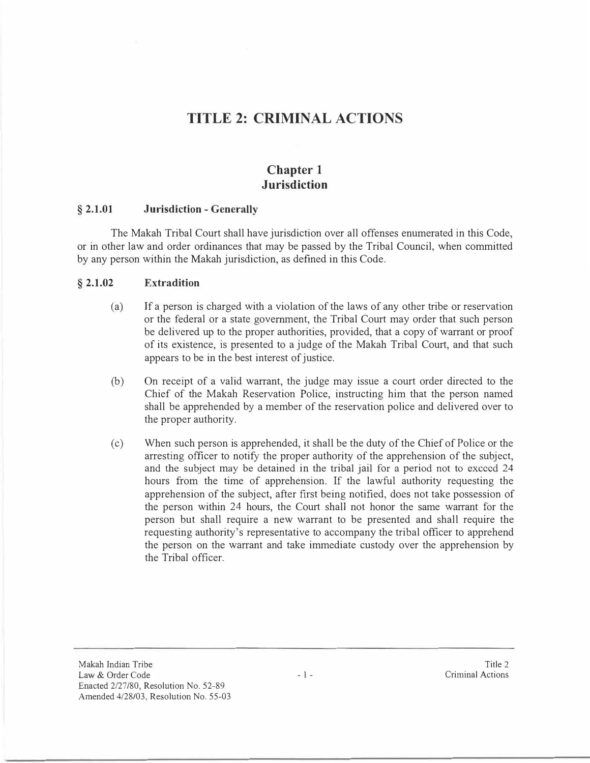# **TITLE 2: CRIMINAL ACTIONS**

# **Chapter 1 Jurisdiction**

#### **§ 2.1.01 Jurisdiction - Generally**

The Makah Tribal Court shall have jurisdiction over all offenses enumerated in this Code, or in other law and order ordinances that may be passed by the Tribal Council, when committed by any person within the Makah jurisdiction, as defined in this Code.

### **§ 2.1.02 Extradition**

- (a) If a person is charged with a violation of the laws of any other tribe or reservation or the federal or a state government, the Tribal Court may order that such person be delivered up to the proper authorities, provided, that a copy of warrant or proof of its existence, is presented to a judge of the Makah Tribal Court, and that such appears to be in the best interest of justice.
- (b) On receipt of a valid warrant, the judge may issue a court order directed to the Chief of the Makah Reservation Police, instructing him that the person named shall be apprehended by a member of the reservation police and delivered over to the proper authority.
- (c) When such person is apprehended, it shall be the duty of the Chief of Police or the arresting officer to notify the proper authority of the apprehension of the subject, and the subject may be detained in the tribal jail for a period not to exceed 24 hours from the time of apprehension. If the lawful authority requesting the apprehension of the subject, after first being notified, does not take possession of the person within 24 hours, the Court shall not honor the same warrant for the person but shall require a new warrant to be presented and shall require the requesting authority's representative to accompany the tribal officer to apprehend the person on the warrant and take immediate custody over the apprehension by the Tribal officer.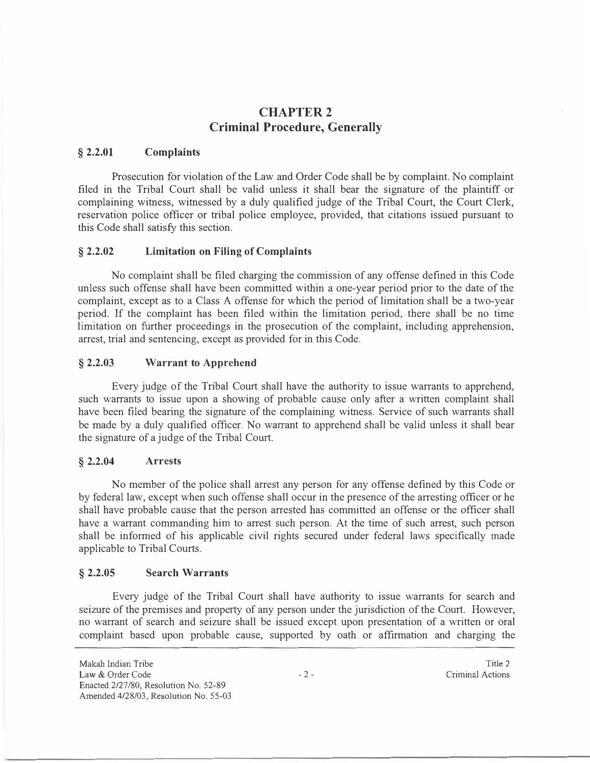# **CHAPTER2 Criminal Procedure, Generally**

## **§ 2.2.01 Complaints**

Prosecution for violation of the Law and Order Code shall be by complaint. No complaint filed in the Tribal Court shall be valid unless it shall bear the signature of the plaintiff or complaining witness, witnessed by a duly qualified judge of the Tribal Court, the Court Clerk, reservation police officer or tribal police employee, provided, that citations issued pursuant to this Code shall satisfy this section.

## **§ 2.2.02 Limitation on Filing of Complaints**

No complaint shall be filed charging the commission of any offense defined in this Code unless such offense shall have been committed within a one-year period prior to the date of the complaint, except as to a Class A offense for which the period of limitation shall be a two-year period. If the complaint has been filed within the limitation period, there shall be no time limitation on further proceedings in the prosecution of the complaint, including apprehension, arrest, trial and sentencing, except as provided for in this Code.

## **§ 2.2.03 Warrant to Apprehend**

Every judge of the Tribal Court shall have the authority to issue warrants to apprehend, such warrants to issue upon a showing of probable cause only after a written complaint shall have been filed bearing the signature of the complaining witness. Service of such warrants shall be made by a duly qualified officer. No warrant to apprehend shall be valid unless it shall bear the signature of a judge of the Tribal Court.

## **§ 2.2.04 Arrests**

No member of the police shall arrest any person for any offense defined by this Code or by federal law, except when such offense shall occur in the presence of the arresting officer or he shall have probable cause that the person arrested has committed an offense or the officer shall have a warrant commanding him to arrest such person. At the time of such arrest, such person shall be informed of his applicable civil rights secured under federal laws specifically made applicable to Tribal Courts.

## **§ 2.2.05 Search Warrants**

Every judge of the Tribal Court shall have authority to issue warrants for search and seizure of the premises and property of any person under the jurisdiction of the Court. However, no warrant of search and seizure shall be issued except upon presentation of a written or oral complaint based upon probable cause, supported by oath or affirmation and charging the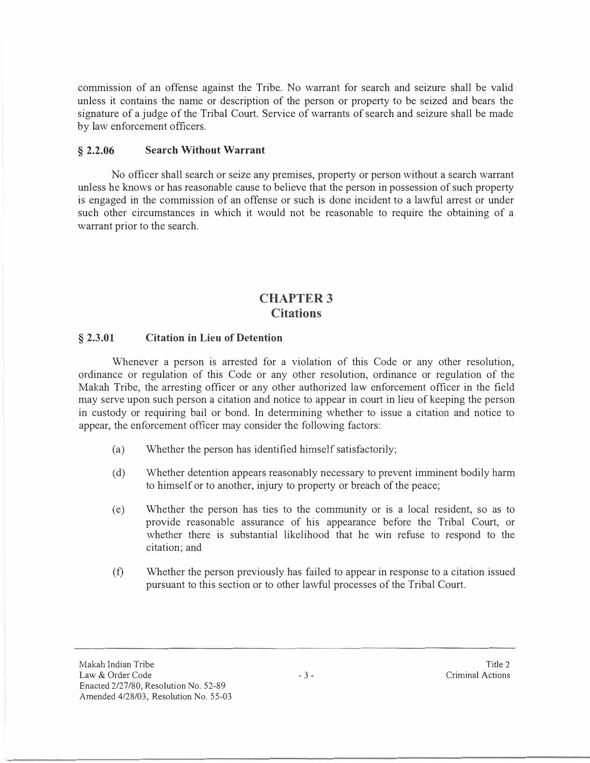commission of an offense against the Tribe. No warrant for search and seizure shall be valid unless it contains the name or description of the person or property to be seized and bears the signature of a judge of the Tribal Court. Service of warrants of search and seizure shall be made by law enforcement officers.

## **§ 2.2.06 Search Without Warrant**

No officer shall search or seize any premises, property or person without a search warrant unless he knows or has reasonable cause to believe that the person in possession of such property is engaged in the commission of an offense or such is done incident to a lawful arrest or under such other circumstances in which it would not be reasonable to require the obtaining of a warrant prior to the search.

# **CHAPTER3 Citations**

### **§ 2.3.01 Citation in Lieu of Detention**

Whenever a person is arrested for a violation of this Code or any other resolution, ordinance or regulation of this Code or any other resolution, ordinance or regulation of the Makah Tribe, the arresting officer or any other authorized law enforcement officer in the field may serve upon such person a citation and notice to appear in court in lieu of keeping the person in custody or requiring bail or bond. In determining whether to issue a citation and notice to appear, the enforcement officer may consider the following factors:

- (a) Whether the person has identified himself satisfactorily;
- ( d) Whether detention appears reasonably necessary to prevent imminent bodily harm to himself or to another, injury to property or breach of the peace;
- ( e) Whether the person has ties to the community or is a local resident, so as to provide reasonable assurance of his appearance before the Tribal Court, or whether there is substantial likelihood that he win refuse to respond to the citation; and
- (f) Whether the person previously has failed to appear in response to a citation issued pursuant to this section or to other lawful processes of the Tribal Court.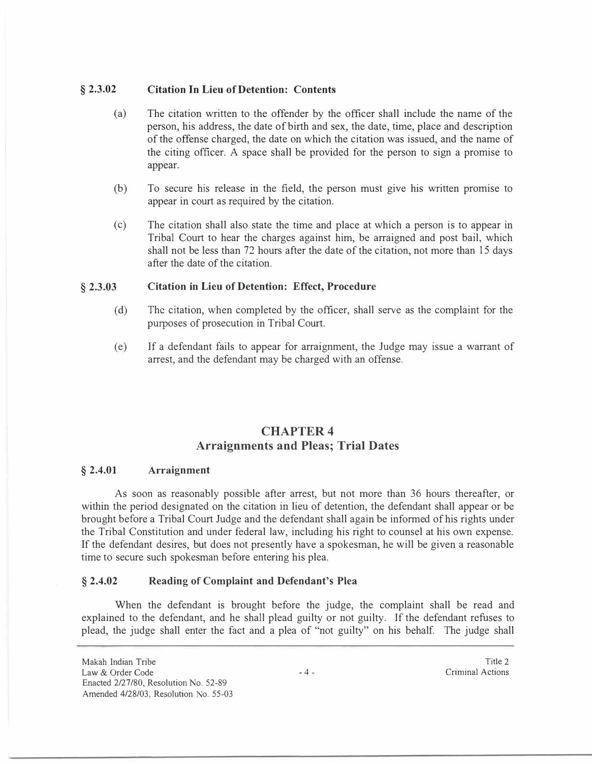### § **2.3.02 Citation In Lieu of Detention: Contents**

- (a) The citation written to the offender by the officer shall include the name of the person, his address, the date of birth and sex, the date, time, place and description of the offense charged, the date on which the citation was issued, and the name of the citing officer. A space shall be provided for the person to sign a promise to appear.
- (b) To secure his release in the field, the person must give his written promise to appear in court as required by the citation.
- (c) The citation shall also state the time and place at which a person is to appear in Tribal Court to hear the charges against him, be arraigned and post bail, which shall not be less than 72 hours after the date of the citation, not more than 15 days after the date of the citation.

### **§ 2.3.03 Citation in Lieu of Detention: Effect, Procedure**

- (d) The citation, when completed by the officer, shall serve as the complaint for the purposes of prosecution in Tribal Court.
- (e) If a defendant fails to appear for arraignment, the Judge may issue a warrant of arrest, and the defendant may be charged with an offense.

# **CHAPTER4 Arraignments and Pleas; Trial Dates**

### § **2.4.01 Arraignment**

As soon as reasonably possible after arrest, but not more than 36 hours thereafter, or within the period designated on the citation in lieu of detention, the defendant shall appear or be brought before a Tribal Court Judge and the defendant shall again be informed of his rights under the Tribal Constitution and under federal law, including his right to counsel at his own expense. If the defendant desires, but does not presently have a spokesman, he will be given a reasonable time to secure such spokesman before entering his plea.

## **§ 2.4.02 Reading of Complaint and Defendant's Plea**

When the defendant is brought before the judge, the complaint shall be read and explained to the defendant, and he shall plead guilty or not guilty. If the defendant refuses to plead, the judge shall enter the fact and a plea of "not guilty" on his behalf. The judge shall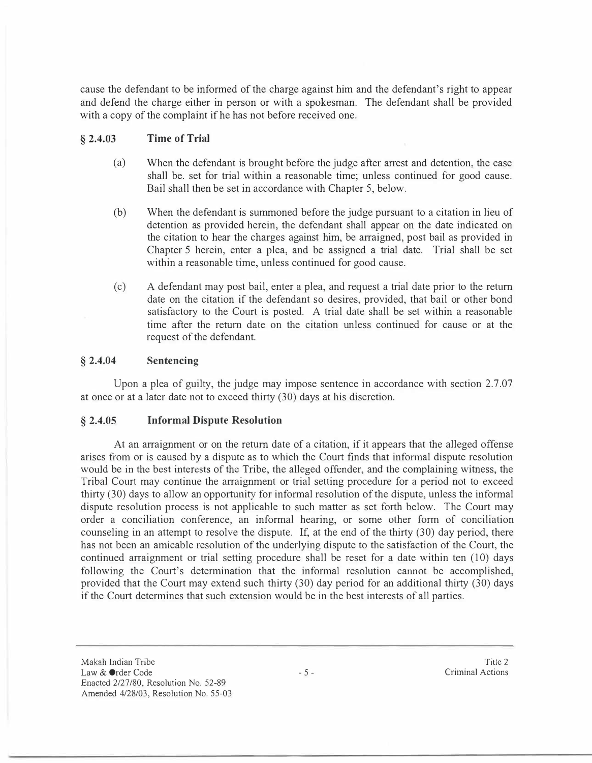cause the defendant to be informed of the charge against him and the defendant's right to appear and defend the charge either in person or with a spokesman. The defendant shall be provided with a copy of the complaint if he has not before received one.

### **§ 2.4.03 Time of Trial**

- (a) When the defendant is brought before the judge after arrest and detention, the case shall be. set for trial within a reasonable time; unless continued for good cause. Bail shall then be set in accordance with Chapter 5, below.
- (b) When the defendant is summoned before the judge pursuant to a citation in lieu of detention as provided herein, the defendant shall appear on the date indicated on the citation to hear the charges against him, be arraigned, post bail as provided in Chapter 5 herein, enter a plea, and be assigned a trial date. Trial shall be set within a reasonable time, unless continued for good cause.
- (c) A defendant may post bail, enter a plea, and request a trial date prior to the return date on the citation if the defendant so desires, provided, that bail or other bond satisfactory to the Court is posted. A trial date shall be set within a reasonable time after the return date on the citation unless continued for cause or at the request of the defendant.

#### **§ 2.4.04 Sentencing**

Upon a plea of guilty, the judge may impose sentence in accordance with section 2.7.07 at once or at a later date not to exceed thirty (30) days at his discretion.

## **§ 2.4.05 Informal Dispute Resolution**

At an arraignment or on the return date of a citation, if it appears that the alleged offense arises from or is caused by a dispute as to which the Court finds that informal dispute resolution would be in the best interests of the Tribe, the alleged offender, and the complaining witness, the Tribal Court may continue the arraignment or trial setting procedure for a period not to exceed thirty (30) days to allow an opportunity for informal resolution of the dispute, unless the informal dispute resolution process is not applicable to such matter as set forth below. The Court may order a conciliation conference, an informal hearing, or some other form of conciliation counseling in an attempt to resolve the dispute. If, at the end of the thirty (30) day period, there bas not been an amicable resolution of the underlying dispute to the satisfaction of the Court, the continued arraignment or trial setting procedure shall be reset for a date within ten (10) days following the Court's determination that the informal resolution cannot be accomplished, provided that the Court may extend such thirty (30) day period for an additional thirty (30) days if the Court determines that such extension would be in the best interests of all parties.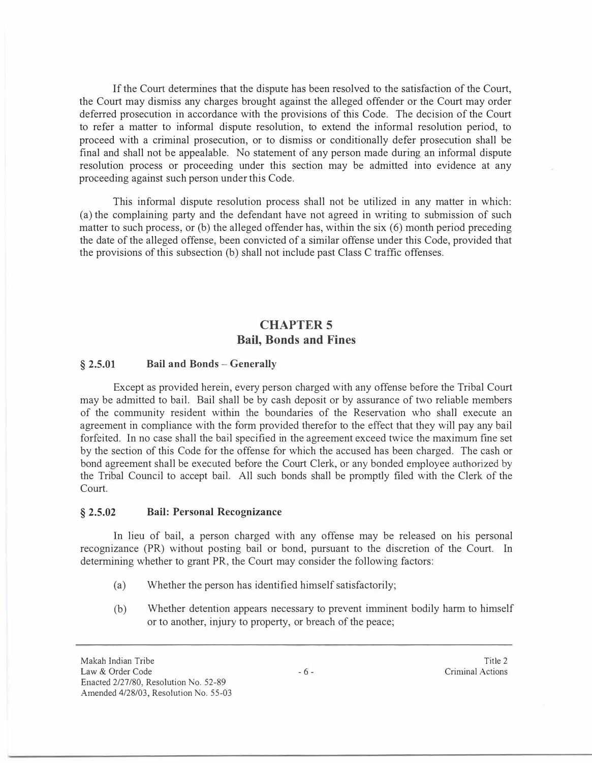If the Court determines that the dispute has been resolved to the satisfaction of the Court, the Court may dismiss any charges brought against the alleged offender or the Court may order deferred prosecution in accordance with the provisions of this Code. The decision of the Court to refer a matter to informal dispute resolution, to extend the informal resolution period, to proceed with a criminal prosecution, or to dismiss or conditionally defer prosecution shall be final and shall not be appealable. No statement of any person made during an informal dispute resolution process or proceeding under this section may be admitted into evidence at any proceeding against such person under this Code.

This informal dispute resolution process shall not be utilized in any matter in which: (a) the complaining party and the defendant have not agreed in writing to submission of such matter to such process, or (b) the alleged offender has, within the six (6) month period preceding the date of the alleged offense, been convicted of a similar offense under this Code, provided that the provisions of this subsection (b) shall not include past Class C traffic offenses.

## **CHAPTER 5 Bail, Bonds and Fines**

#### **§ 2.5.01 Bail and Bonds - Generally**

Except as provided herein, every person charged with any offense before the Tribal Court may be admitted to bail. Bail shall be by cash deposit or by assurance of two reliable members of the community resident within the boundaries of the Reservation who shall execute an agreement in compliance with the form provided therefor to the effect that they will pay any bail forfeited. In no case shall the bail specified in the agreement exceed twice the maximum fine set by the section of this Code for the offense for which the accused has been charged. The cash or bond agreement shall be executed before the Court Clerk, or any bonded employee authorized by the Tribal Council to accept bail. All such bonds shall be promptly filed with the Clerk of the Court.

### **§ 2.5.02 Bail: Personal Recognizance**

In lieu of bail, a person charged with any offense may be released on his personal recognizance (PR) without posting bail or bond, pursuant to the discretion of the Court. In determining whether to grant PR, the Court may consider the following factors:

- (a) Whether the person has identified himself satisfactorily;
- (b) Whether detention appears necessary to prevent imminent bodily harm to himself or to another, injury to property, or breach of the peace;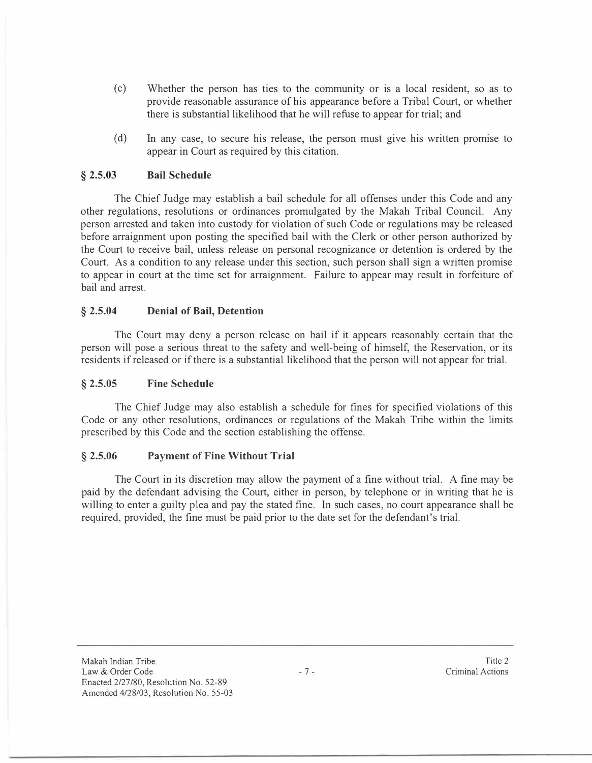- (c) Whether the person has ties to the community or is a local resident, so as to provide reasonable assurance of his appearance before a Tribal Court, or whether there is substantial likelihood that he will refuse to appear for trial; and
- (d) In any case, to secure his release, the person must give his written promise to appear in Court as required by this citation.

### **§ 2.5.03 Bail Schedule**

The Chief Judge may establish a bail schedule for all offenses under this Code and any other regulations, resolutions or ordinances promulgated by the Makah Tribal Council. Any person arrested and taken into custody for violation of such Code or regulations may be released before arraignment upon posting the specified bail with the Clerk or other person authorized by the Court to receive bail, unless release on personal recognizance or detention is ordered by the Court. As a condition to any release under this section, such person shall sign a written promise to appear in court at the time set for arraignment. Failure to appear may result in forfeiture of bail and arrest.

## **§ 2.5.04 Denial of Bail, Detention**

The Court may deny a person release on bail if it appears reasonably certain that the person will pose a serious threat to the safety and well-being of himself, the Reservation, or its residents if released or if there is a substantial likelihood that the person will not appear for trial.

## **§ 2.5.05 Fine Schedule**

The Chief Judge may also establish a schedule for fines for specified violations of this Code or any other resolutions, ordinances or regulations of the Makah Tribe within the limits prescribed by this Code and the section establishing the offense.

## **§ 2.5.06 Payment of Fine Without Trial**

The Court in its discretion may allow the payment of a fine without trial. A fine may be paid by the defendant advising the Court, either in person, by telephone or in writing that he is willing to enter a guilty plea and pay the stated fine. In such cases, no court appearance shall be required, provided, the fine must be paid prior to the date set for the defendant's trial.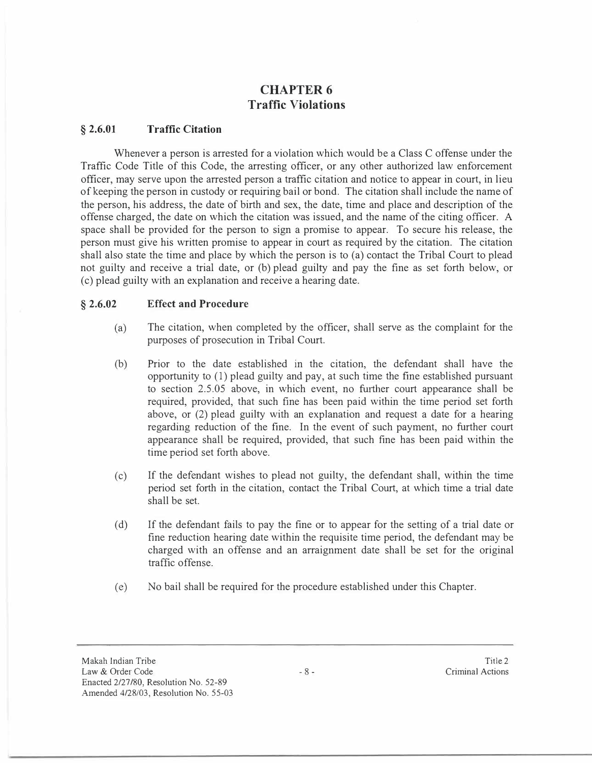# **CHAPTER 6 Traffic Violations**

## **§ 2.6.01 Traffic Citation**

Whenever a person is arrested for a violation which would be a Class C offense under the Traffic Code Title of this Code, the arresting officer, or any other authorized law enforcement officer, may serve upon the arrested person a traffic citation and notice to appear in court, in lieu of keeping the person in custody or requiring bail or bond. The citation shall include the name of the person, his address, the date of birth and sex, the date, time and place and description of the offense charged, the date on which the citation was issued, and the name of the citing officer. A space shall be provided for the person to sign a promise to appear. To secure his release, the person must give his written promise to appear in court as required by the citation. The citation shall also state the time and place by which the person is to (a) contact the Tribal Court to plead not guilty and receive a trial date, or (b) plead guilty and pay the fine as set forth below, or (c) plead guilty with an explanation and receive a hearing date.

### **§ 2.6.02 Effect and Procedure**

- (a) The citation, when completed by the officer, shall serve as the complaint for the purposes of prosecution in Tribal Court.
- (b) Prior to the date established in the citation, the defendant shall have the opportunity to (1) plead guilty and pay, at such time the fine established pursuant to section 2.5.05 above, in which event, no further court appearance shall be required, provided, that such fine has been paid within the time period set forth above, or (2) plead guilty with an explanation and request a date for a hearing regarding reduction of the fine. In the event of such payment, no further court appearance shall be required, provided, that such fine has been paid within the time period set forth above.
- (c) If the defendant wishes to plead not guilty, the defendant shall, within the time period set forth in the citation, contact the Tribal Court, at which time a trial date shall be set.
- (d) If the defendant fails to pay the fine or to appear for the setting of a trial date or fine reduction hearing date within the requisite time period, the defendant may be charged with an offense and an arraignment date shall be set for the original traffic offense.
- (e) No bail shall be required for the procedure established under this Chapter.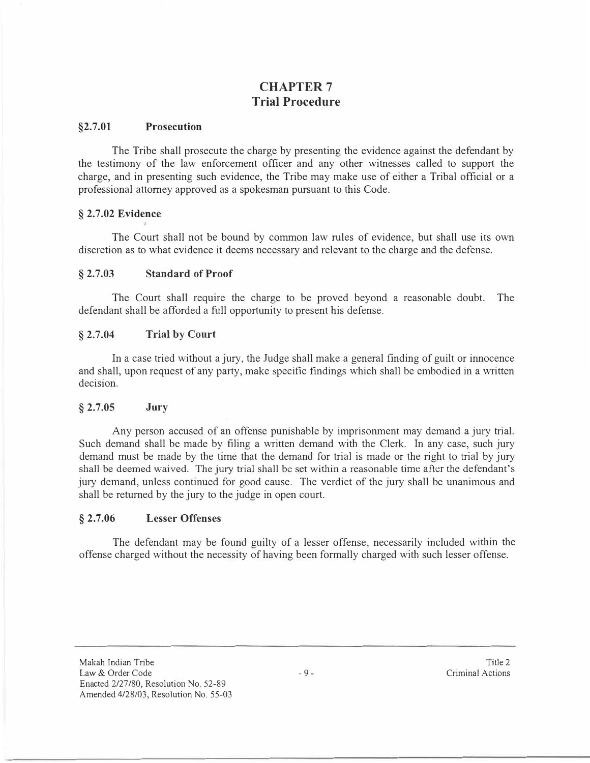# **CHAPTER 7 Trial Procedure**

## **§2.7.01 Prosecution**

The Tribe shall prosecute the charge by presenting the evidence against the defendant by the testimony of the law enforcement officer and any other witnesses called to support the charge, and in presenting such evidence, the Tribe may make use of either a Tribal official or a professional attorney approved as a spokesman pursuant to this Code.

## **§ 2.7.02 Evidence**

The Court shall not be bound by common law rules of evidence, but shall use its own discretion as to what evidence it deems necessary and relevant to the charge and the defense.

## **§ 2.7.03 Standard of Proof**

 $\mathfrak{z}$ 

The Court shall require the charge to be proved beyond a reasonable doubt. The defendant shall be afforded a full opportunity to present his defense.

## **§ 2.7.04 Trial by Court**

In a case tried without a jury, the Judge shall make a general finding of guilt or innocence and shall, upon request of any party, make specific findings which shall be embodied in a written decision.

## **§ 2.7.05 Jury**

Any person accused of an offense punishable by imprisonment may demand a jury trial. Such demand shall be made by filing a written demand with the Clerk. In any case, such jury demand must be made by the time that the demand for trial is made or the right to trial by jury shall be deemed waived. The jury trial shall be set within a reasonable time after the defendant's jury demand, unless continued for good cause. The verdict of the jury shall be unanimous and shall be returned by the jury to the judge in open court.

## **§ 2.7.06 Lesser Offenses**

The defendant may be found guilty of a lesser offense, necessarily included within the offense charged without the necessity of having been formally charged with such lesser offense.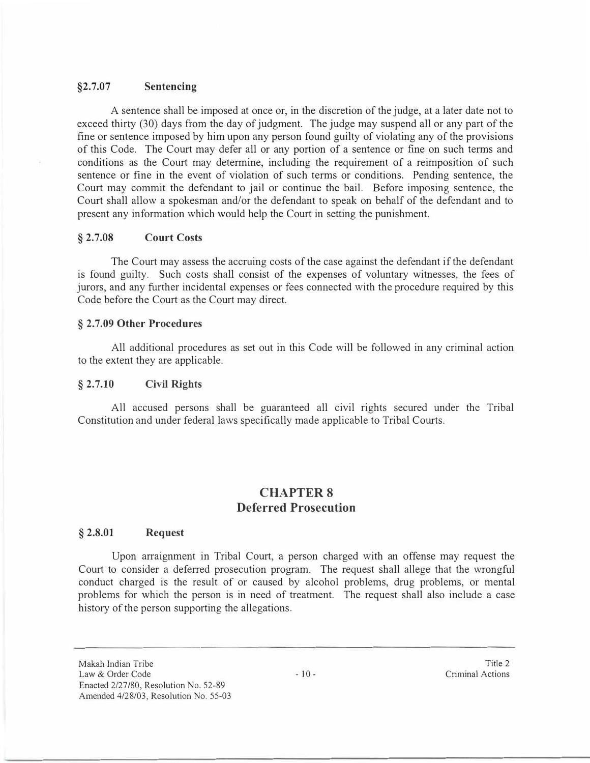## **§2.7.07 Sentencing**

A sentence shall be imposed at once or, in the discretion of the judge, at a later date not to exceed thirty (30) days from the day of judgment. The judge may suspend all or any part of the fine or sentence imposed by him upon any person found guilty of violating any of the provisions of this Code. The Court may defer all or any portion of a sentence or fine on such terms and conditions as the Court may determine, including the requirement of a reimposition of such sentence or fine in the event of violation of such terms or conditions. Pending sentence, the Court may commit the defendant to jail or continue the bail. Before imposing sentence, the Court shall allow a spokesman and/or the defendant to speak on behalf of the defendant and to present any information which would help the Court in setting the punishment.

## **§ 2.7.08 Court Costs**

The Court may assess the accruing costs of the case against the defendant if the defendant is found guilty. Such costs shall consist of the expenses of voluntary witnesses, the fees of jurors, and any further incidental expenses or fees connected with the procedure required by this Code before the Court as the Court may direct.

## **§ 2.7.09 Other Procedures**

All additional procedures as set out in this Code will be followed in any criminal action to the extent they are applicable.

### **§ 2.7.10 Civil Rights**

All accused persons shall be guaranteed all civil rights secured under the Tribal Constitution and under federal laws specifically made applicable to Tribal Courts.

## **CHAPTERS Deferred Prosecution**

### **§ 2.8.01 Request**

Upon arraignment in Tribal Court, a person charged with an offense may request the Court to consider a deferred prosecution program. The request shall allege that the wrongful conduct charged is the result of or caused by alcohol problems, drug problems, or mental problems for which the person is in need of treatment. The request shall also include a case history of the person supporting the allegations.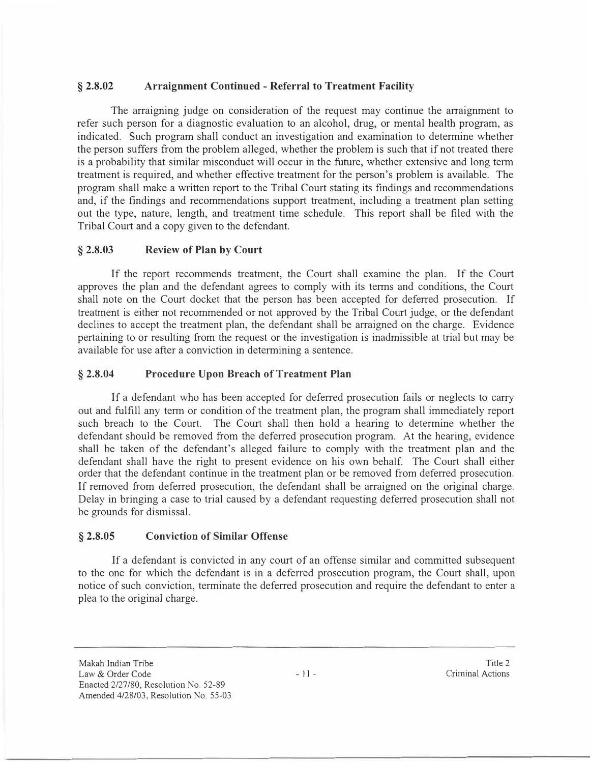## **§ 2.8.02 Arraignment Continued - Referral to Treatment Facility**

The arraigning judge on consideration of the request may continue the arraignment to refer such person for a diagnostic evaluation to an alcohol, drug, or mental health program, as indicated. Such program shall conduct an investigation and examination to determine whether the person suffers from the problem alleged, whether the problem is such that if not treated there is a probability that similar misconduct will occur in the future, whether extensive and long term treatment is required, and whether effective treatment for the person's problem is available. The program shall make a written report to the Tribal Court stating its findings and recommendations and, if the findings and recommendations support treatment, including a treatment plan setting out the type, nature, length, and treatment time schedule. This report shall be filed with the Tribal Court and a copy given to the defendant.

## **§ 2.8.03 Review of Plan by Court**

If the report recommends treatment, the Court shall examine the plan. If the Court approves the plan and the defendant agrees to comply with its terms and conditions, the Court shall note on the Court docket that the person has been accepted for deferred prosecution. If treatment is either not recommended or not approved by the Tribal Court judge, or the defendant declines to accept the treatment plan, the defendant shall be arraigned on the charge. Evidence pertaining to or resulting from the request or the investigation is inadmissible at trial but may be available for use after a conviction in determining a sentence.

## **§ 2.8.04 Procedure Upon Breach of Treatment Plan**

If a defendant who has been accepted for deferred prosecution fails or neglects to carry out and fulfill any term or condition of the treatment plan, the program shall immediately report such breach to the Court. The Court shall then hold a hearing to determine whether the defendant should be removed from the deferred prosecution program. At the hearing, evidence shall be taken of the defendant's alleged failure to comply with the treatment plan and the defendant shall have the right to present evidence on his own behalf. The Court shall either order that the defendant continue in the treatment plan or be removed from deferred prosecution. If removed from deferred prosecution, the defendant shall be arraigned on the original charge. Delay in bringing a case to trial caused by a defendant requesting deferred prosecution shall not be grounds for dismissal.

## **§ 2.8.05 Conviction of Similar Offense**

If a defendant is convicted in any court of an offense similar and committed subsequent to the one for which the defendant is in a deferred prosecution program, the Court shall, upon notice of such conviction, terminate the deferred prosecution and require the defendant to enter a plea to the original charge.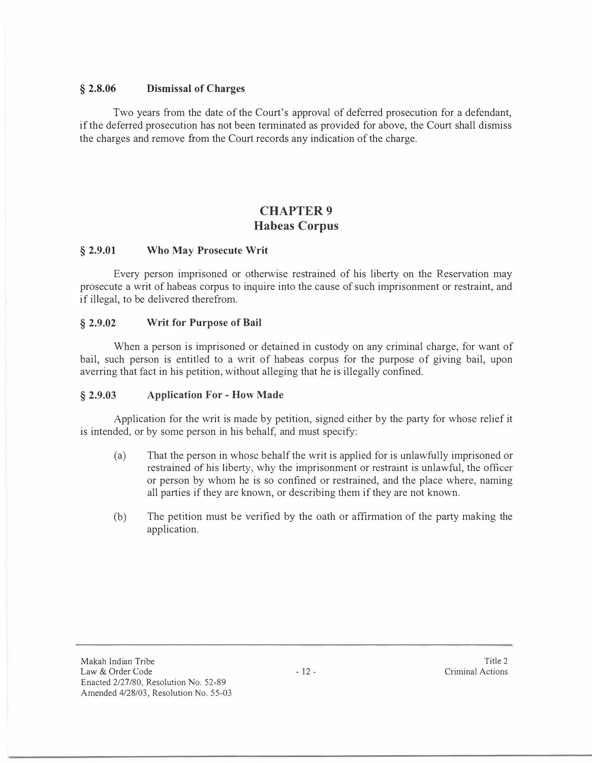## **§ 2.8.06 Dismissal of Charges**

Two years from the date of the Court's approval of deferred prosecution for a defendant, if the deferred prosecution has not been terminated as provided for above, the Court shall dismiss the charges and remove from the Court records any indication of the charge.

# **CHAPTER9 Habeas Corpus**

### **§ 2.9.01 Who May Prosecute Writ**

Every person imprisoned or otherwise restrained of his liberty on the Reservation may prosecute a writ of habeas corpus to inquire into the cause of such imprisonment or restraint, and if illegal, to be delivered therefrom.

## **§ 2.9.02 Writ for Purpose of Bail**

When a person is imprisoned or detained in custody on any criminal charge, for want of bail, such person is entitled to a writ of habeas corpus for the purpose of giving bail, upon averring that fact in his petition, without alleging that he is illegally confined.

## **§ 2.9.03 Application For - How Made**

Application for the writ is made by petition, signed either by the party for whose relief it is intended, or by some person in his behalf, and must specify:

- (a) That the person in whose behalf the writ is applied for is unlawfully imprisoned or restrained of his liberty, why the imprisonment or restraint is unlawful, the officer or person by whom he is so confined or restrained, and the place where, naming all parties if they are known, or describing them if they are not known.
- (b) The petition must be verified by the oath or affirmation of the party making the application.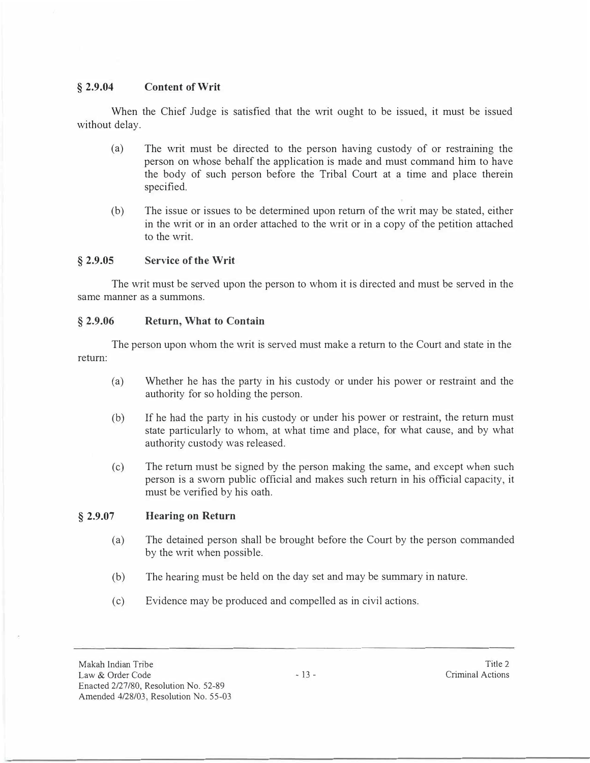## **§ 2.9.04 Content of Writ**

When the Chief Judge is satisfied that the writ ought to be issued, it must be issued without delay.

- (a) The writ must be directed to the person having custody of or restraining the person on whose behalf the application is made and must command him to have the body of such person before the Tribal Court at a time and place therein specified.
- (b) The issue or issues to be determined upon return of the writ may be stated, either in the writ or in an order attached to the writ or in a copy of the petition attached to the writ.

### **§ 2.9.05 Service of the Writ**

The writ must be served upon the person to whom it is directed and must be served in the same manner as a summons.

## **§ 2.9.06 Return, What to Contain**

The person upon whom the writ is served must make a return to the Court and state in the return:

- (a) Whether he has the party in his custody or under his power or restraint and the authority for so holding the person.
- (b) If he had the party in his custody or under his power or restraint, the return must state particularly to whom, at what time and place, for what cause, and by what authority custody was released.
- (c) The return must be signed by the person making the same, and except when such person is a sworn public official and makes such return in his official capacity, it must be verified by his oath.

### **§ 2.9.07 Hearing on Return**

- (a) The detained person shall be brought before the Court by the person commanded by the writ when possible.
- (b) The hearing must be held on the day set and may be summary in nature.
- (c) Evidence may be produced and compelled as in civil actions.